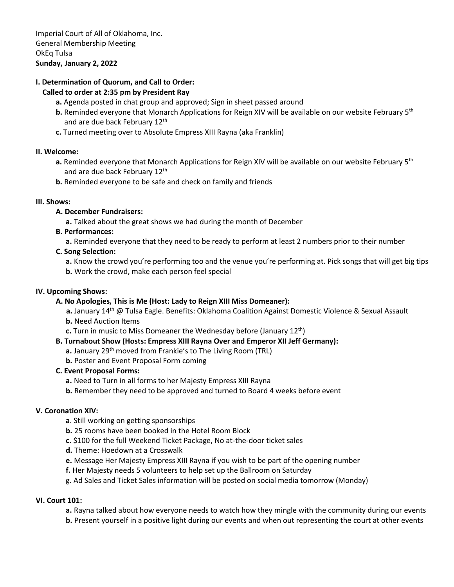# **I. Determination of Quorum, and Call to Order:**

### **Called to order at 2:35 pm by President Ray**

- **a.** Agenda posted in chat group and approved; Sign in sheet passed around
- **b.** Reminded everyone that Monarch Applications for Reign XIV will be available on our website February 5<sup>th</sup> and are due back February 12<sup>th</sup>
- **c.** Turned meeting over to Absolute Empress XIII Rayna (aka Franklin)

### **II. Welcome:**

- **a.** Reminded everyone that Monarch Applications for Reign XIV will be available on our website February 5<sup>th</sup> and are due back February 12<sup>th</sup>
- **b.** Reminded everyone to be safe and check on family and friends

### **III. Shows:**

## **A. December Fundraisers:**

**a.** Talked about the great shows we had during the month of December

## **B. Performances:**

**a.** Reminded everyone that they need to be ready to perform at least 2 numbers prior to their number

## **C. Song Selection:**

**a.** Know the crowd you're performing too and the venue you're performing at. Pick songs that will get big tips **b.** Work the crowd, make each person feel special

### **IV. Upcoming Shows:**

# **A. No Apologies, This is Me (Host: Lady to Reign XIII Miss Domeaner):**

a. January 14<sup>th</sup> @ Tulsa Eagle. Benefits: Oklahoma Coalition Against Domestic Violence & Sexual Assault

- **b.** Need Auction Items
- **c.** Turn in music to Miss Domeaner the Wednesday before (January 12<sup>th</sup>)

### **B. Turnabout Show (Hosts: Empress XIII Rayna Over and Emperor XII Jeff Germany):**

- **a.** January 29th moved from Frankie's to The Living Room (TRL)
- **b.** Poster and Event Proposal Form coming

### **C. Event Proposal Forms:**

- **a.** Need to Turn in all forms to her Majesty Empress XIII Rayna
- **b.** Remember they need to be approved and turned to Board 4 weeks before event

### **V. Coronation XIV:**

- **a**. Still working on getting sponsorships
- **b.** 25 rooms have been booked in the Hotel Room Block
- **c.** \$100 for the full Weekend Ticket Package, No at-the-door ticket sales
- **d.** Theme: Hoedown at a Crosswalk
- **e.** Message Her Majesty Empress XIII Rayna if you wish to be part of the opening number
- **f.** Her Majesty needs 5 volunteers to help set up the Ballroom on Saturday
- g. Ad Sales and Ticket Sales information will be posted on social media tomorrow (Monday)

# **VI. Court 101:**

**a.** Rayna talked about how everyone needs to watch how they mingle with the community during our events

**b.** Present yourself in a positive light during our events and when out representing the court at other events